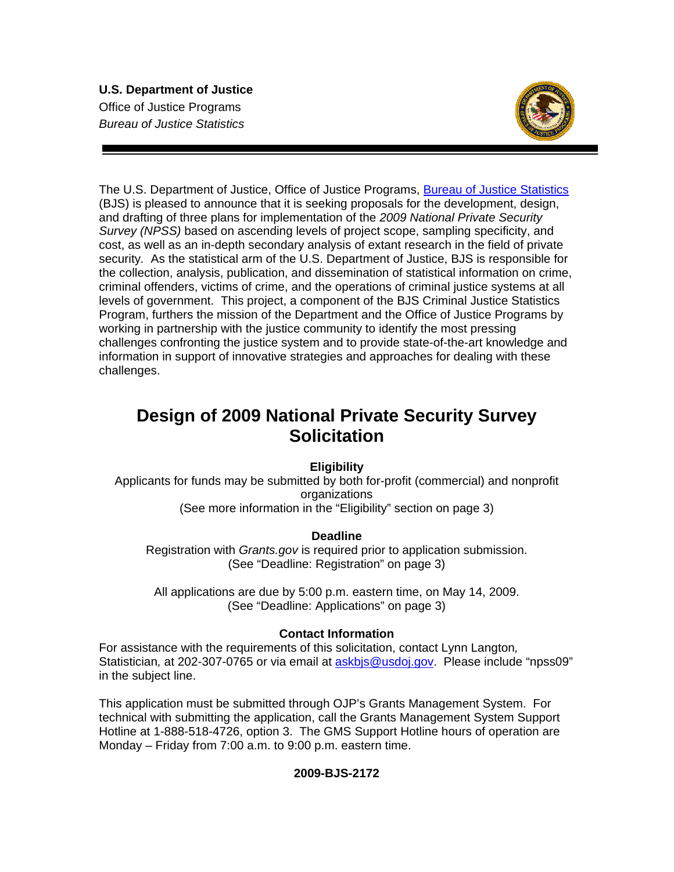### **U.S. Department of Justice**  Office of Justice Programs *Bureau of Justice Statistics*



The U.S. Department of Justice, Office of Justice Programs, Bureau of Justice Statistics (BJS) is pleased to announce that it is seeking proposals for the development, design, and drafting of three plans for implementation of the *2009 National Private Security Survey (NPSS)* based on ascending levels of project scope, sampling specificity, and cost, as well as an in-depth secondary analysis of extant research in the field of private security*.* As the statistical arm of the U.S. Department of Justice, BJS is responsible for the collection, analysis, publication, and dissemination of statistical information on crime, criminal offenders, victims of crime, and the operations of criminal justice systems at all levels of government. This project, a component of the BJS Criminal Justice Statistics Program, furthers the mission of the Department and the Office of Justice Programs by working in partnership with the justice community to identify the most pressing challenges confronting the justice system and to provide state-of-the-art knowledge and information in support of innovative strategies and approaches for dealing with these challenges.

# **Design of 2009 National Private Security Survey Solicitation**

**Eligibility** 

Applicants for funds may be submitted by both for-profit (commercial) and nonprofit organizations (See more information in the "Eligibility" section on page 3)

## **Deadline**

Registration with *Grants.gov* is required prior to application submission. (See "Deadline: Registration" on page 3)

All applications are due by 5:00 p.m. eastern time, on May 14, 2009. (See "Deadline: Applications" on page 3)

## **Contact Information**

For assistance with the requirements of this solicitation, contact Lynn Langton*,*  Statistician*,* at 202-307-0765 or via email at askbjs@usdoj.gov. Please include "npss09" in the subject line.

This application must be submitted through OJP's Grants Management System. For technical with submitting the application, call the Grants Management System Support Hotline at 1-888-518-4726, option 3. The GMS Support Hotline hours of operation are Monday – Friday from 7:00 a.m. to 9:00 p.m. eastern time.

## **2009-BJS-2172**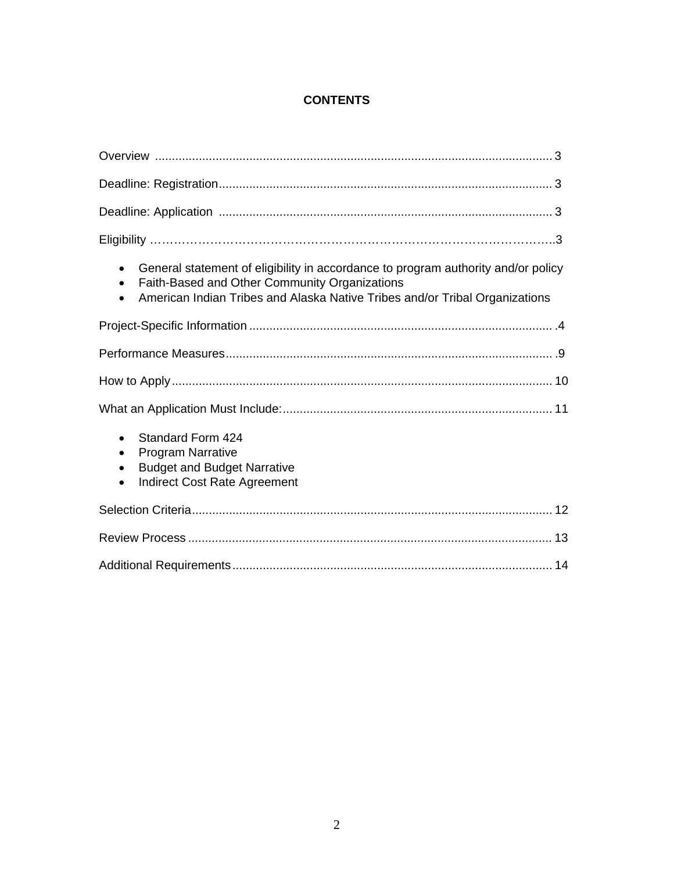## **CONTENTS**

| General statement of eligibility in accordance to program authority and/or policy<br>$\bullet$<br>Faith-Based and Other Community Organizations<br>$\bullet$<br>American Indian Tribes and Alaska Native Tribes and/or Tribal Organizations<br>$\bullet$ |
|----------------------------------------------------------------------------------------------------------------------------------------------------------------------------------------------------------------------------------------------------------|
|                                                                                                                                                                                                                                                          |
|                                                                                                                                                                                                                                                          |
|                                                                                                                                                                                                                                                          |
|                                                                                                                                                                                                                                                          |
| <b>Standard Form 424</b><br>$\bullet$<br><b>Program Narrative</b><br>$\bullet$<br><b>Budget and Budget Narrative</b><br>$\bullet$<br><b>Indirect Cost Rate Agreement</b>                                                                                 |
|                                                                                                                                                                                                                                                          |
|                                                                                                                                                                                                                                                          |
|                                                                                                                                                                                                                                                          |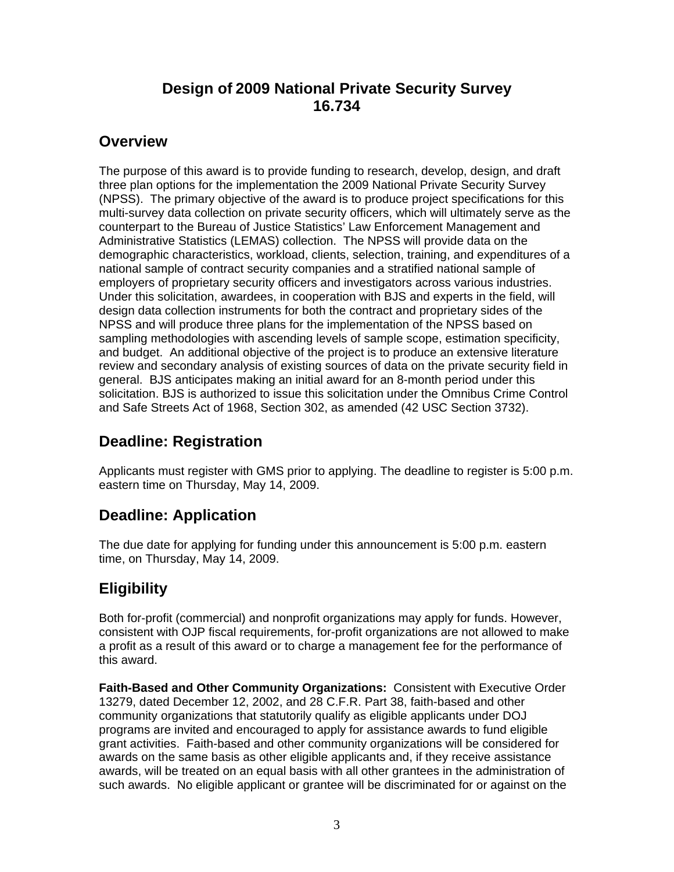# **Design of 2009 National Private Security Survey 16.734**

# **Overview**

The purpose of this award is to provide funding to research, develop, design, and draft three plan options for the implementation the 2009 National Private Security Survey (NPSS). The primary objective of the award is to produce project specifications for this multi-survey data collection on private security officers, which will ultimately serve as the counterpart to the Bureau of Justice Statistics' Law Enforcement Management and Administrative Statistics (LEMAS) collection. The NPSS will provide data on the demographic characteristics, workload, clients, selection, training, and expenditures of a national sample of contract security companies and a stratified national sample of employers of proprietary security officers and investigators across various industries. Under this solicitation, awardees, in cooperation with BJS and experts in the field, will design data collection instruments for both the contract and proprietary sides of the NPSS and will produce three plans for the implementation of the NPSS based on sampling methodologies with ascending levels of sample scope, estimation specificity, and budget. An additional objective of the project is to produce an extensive literature review and secondary analysis of existing sources of data on the private security field in general. BJS anticipates making an initial award for an 8-month period under this solicitation. BJS is authorized to issue this solicitation under the Omnibus Crime Control and Safe Streets Act of 1968, Section 302, as amended (42 USC Section 3732).

# **Deadline: Registration**

Applicants must register with GMS prior to applying. The deadline to register is 5:00 p.m. eastern time on Thursday, May 14, 2009.

## **Deadline: Application**

The due date for applying for funding under this announcement is 5:00 p.m. eastern time, on Thursday, May 14, 2009.

# **Eligibility**

Both for-profit (commercial) and nonprofit organizations may apply for funds. However, consistent with OJP fiscal requirements, for-profit organizations are not allowed to make a profit as a result of this award or to charge a management fee for the performance of this award.

**Faith-Based and Other Community Organizations:** Consistent with Executive Order 13279, dated December 12, 2002, and 28 C.F.R. Part 38, faith-based and other community organizations that statutorily qualify as eligible applicants under DOJ programs are invited and encouraged to apply for assistance awards to fund eligible grant activities. Faith-based and other community organizations will be considered for awards on the same basis as other eligible applicants and, if they receive assistance awards, will be treated on an equal basis with all other grantees in the administration of such awards. No eligible applicant or grantee will be discriminated for or against on the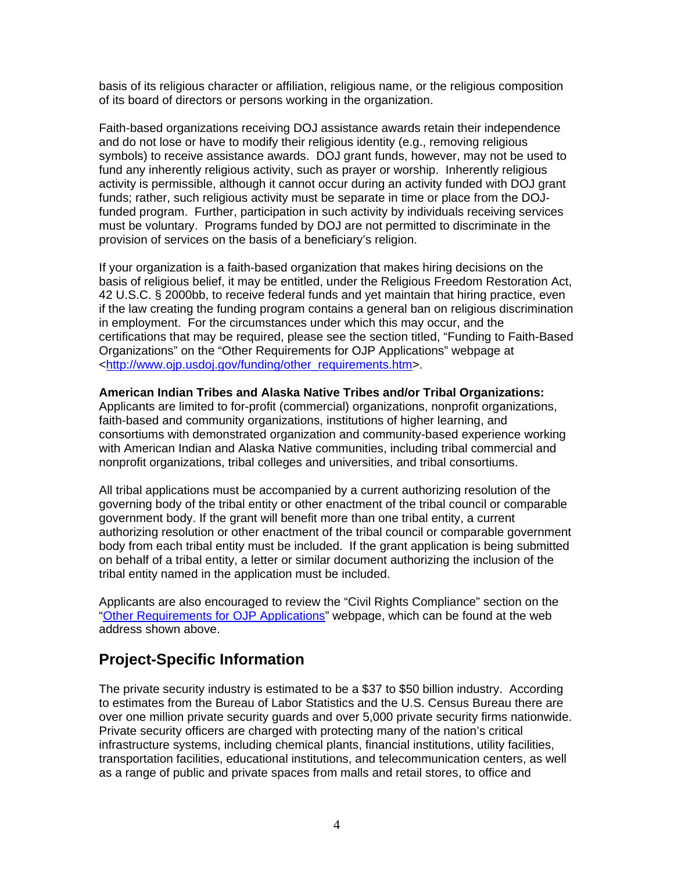basis of its religious character or affiliation, religious name, or the religious composition of its board of directors or persons working in the organization.

Faith-based organizations receiving DOJ assistance awards retain their independence and do not lose or have to modify their religious identity (e.g., removing religious symbols) to receive assistance awards. DOJ grant funds, however, may not be used to fund any inherently religious activity, such as prayer or worship. Inherently religious activity is permissible, although it cannot occur during an activity funded with DOJ grant funds; rather, such religious activity must be separate in time or place from the DOJfunded program. Further, participation in such activity by individuals receiving services must be voluntary. Programs funded by DOJ are not permitted to discriminate in the provision of services on the basis of a beneficiary's religion.

If your organization is a faith-based organization that makes hiring decisions on the basis of religious belief, it may be entitled, under the Religious Freedom Restoration Act, 42 U.S.C. § 2000bb, to receive federal funds and yet maintain that hiring practice, even if the law creating the funding program contains a general ban on religious discrimination in employment. For the circumstances under which this may occur, and the certifications that may be required, please see the section titled, "Funding to Faith-Based Organizations" on the "Other Requirements for OJP Applications" webpage at <http://www.ojp.usdoj.gov/funding/other\_requirements.htm>.

#### **American Indian Tribes and Alaska Native Tribes and/or Tribal Organizations:**

Applicants are limited to for-profit (commercial) organizations, nonprofit organizations, faith-based and community organizations, institutions of higher learning, and consortiums with demonstrated organization and community-based experience working with American Indian and Alaska Native communities, including tribal commercial and nonprofit organizations, tribal colleges and universities, and tribal consortiums.

All tribal applications must be accompanied by a current authorizing resolution of the governing body of the tribal entity or other enactment of the tribal council or comparable government body. If the grant will benefit more than one tribal entity, a current authorizing resolution or other enactment of the tribal council or comparable government body from each tribal entity must be included. If the grant application is being submitted on behalf of a tribal entity, a letter or similar document authorizing the inclusion of the tribal entity named in the application must be included.

Applicants are also encouraged to review the "Civil Rights Compliance" section on the "Other Requirements for OJP Applications" webpage, which can be found at the web address shown above.

## **Project***-***Specific Information**

The private security industry is estimated to be a \$37 to \$50 billion industry. According to estimates from the Bureau of Labor Statistics and the U.S. Census Bureau there are over one million private security guards and over 5,000 private security firms nationwide. Private security officers are charged with protecting many of the nation's critical infrastructure systems, including chemical plants, financial institutions, utility facilities, transportation facilities, educational institutions, and telecommunication centers, as well as a range of public and private spaces from malls and retail stores, to office and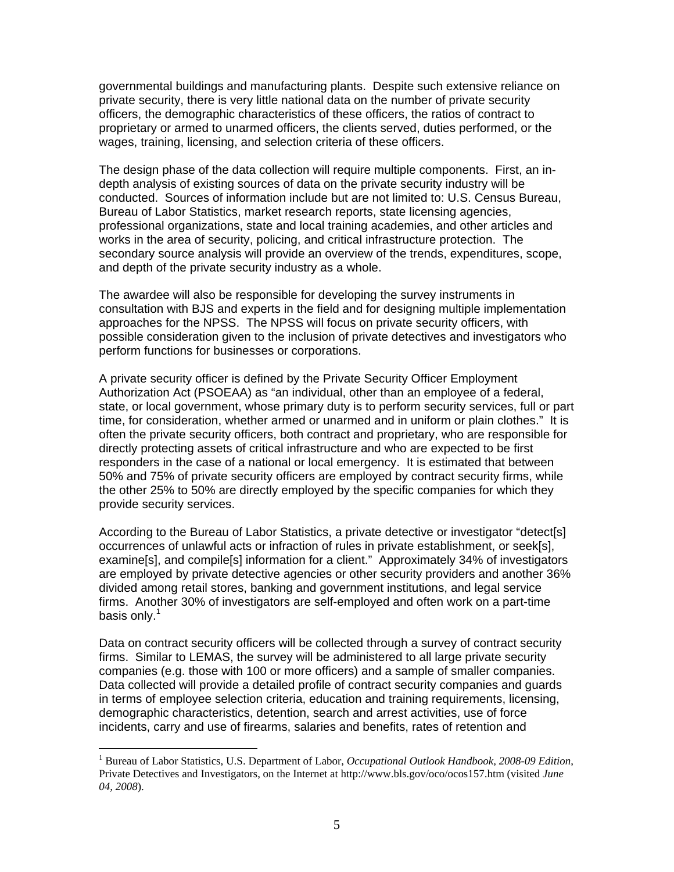governmental buildings and manufacturing plants. Despite such extensive reliance on private security, there is very little national data on the number of private security officers, the demographic characteristics of these officers, the ratios of contract to proprietary or armed to unarmed officers, the clients served, duties performed, or the wages, training, licensing, and selection criteria of these officers.

The design phase of the data collection will require multiple components. First, an indepth analysis of existing sources of data on the private security industry will be conducted. Sources of information include but are not limited to: U.S. Census Bureau, Bureau of Labor Statistics, market research reports, state licensing agencies, professional organizations, state and local training academies, and other articles and works in the area of security, policing, and critical infrastructure protection. The secondary source analysis will provide an overview of the trends, expenditures, scope, and depth of the private security industry as a whole.

The awardee will also be responsible for developing the survey instruments in consultation with BJS and experts in the field and for designing multiple implementation approaches for the NPSS. The NPSS will focus on private security officers, with possible consideration given to the inclusion of private detectives and investigators who perform functions for businesses or corporations.

A private security officer is defined by the Private Security Officer Employment Authorization Act (PSOEAA) as "an individual, other than an employee of a federal, state, or local government, whose primary duty is to perform security services, full or part time, for consideration, whether armed or unarmed and in uniform or plain clothes." It is often the private security officers, both contract and proprietary, who are responsible for directly protecting assets of critical infrastructure and who are expected to be first responders in the case of a national or local emergency. It is estimated that between 50% and 75% of private security officers are employed by contract security firms, while the other 25% to 50% are directly employed by the specific companies for which they provide security services.

According to the Bureau of Labor Statistics, a private detective or investigator "detect[s] occurrences of unlawful acts or infraction of rules in private establishment, or seek[s], examine[s], and compile[s] information for a client." Approximately 34% of investigators are employed by private detective agencies or other security providers and another 36% divided among retail stores, banking and government institutions, and legal service firms. Another 30% of investigators are self-employed and often work on a part-time basis only.<sup>1</sup>

Data on contract security officers will be collected through a survey of contract security firms. Similar to LEMAS, the survey will be administered to all large private security companies (e.g. those with 100 or more officers) and a sample of smaller companies. Data collected will provide a detailed profile of contract security companies and guards in terms of employee selection criteria, education and training requirements, licensing, demographic characteristics, detention, search and arrest activities, use of force incidents, carry and use of firearms, salaries and benefits, rates of retention and

 $\overline{a}$ 

<sup>&</sup>lt;sup>1</sup> Bureau of Labor Statistics, U.S. Department of Labor, *Occupational Outlook Handbook*, 2008-09 Edition, Private Detectives and Investigators, on the Internet at http://www.bls.gov/oco/ocos157.htm (visited *June 04, 2008*).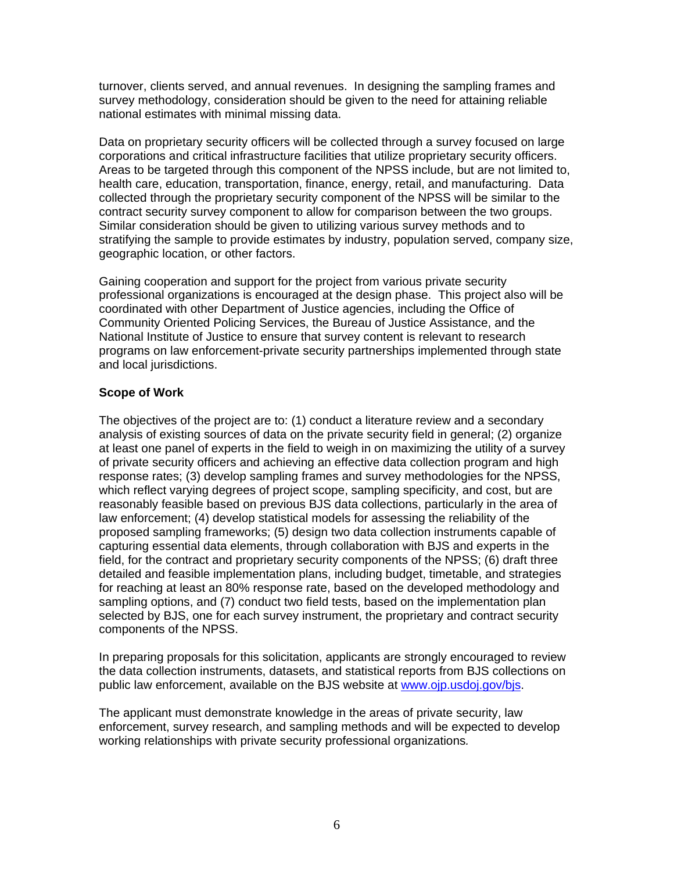turnover, clients served, and annual revenues. In designing the sampling frames and survey methodology, consideration should be given to the need for attaining reliable national estimates with minimal missing data.

Data on proprietary security officers will be collected through a survey focused on large corporations and critical infrastructure facilities that utilize proprietary security officers. Areas to be targeted through this component of the NPSS include, but are not limited to, health care, education, transportation, finance, energy, retail, and manufacturing. Data collected through the proprietary security component of the NPSS will be similar to the contract security survey component to allow for comparison between the two groups. Similar consideration should be given to utilizing various survey methods and to stratifying the sample to provide estimates by industry, population served, company size, geographic location, or other factors.

Gaining cooperation and support for the project from various private security professional organizations is encouraged at the design phase. This project also will be coordinated with other Department of Justice agencies, including the Office of Community Oriented Policing Services, the Bureau of Justice Assistance, and the National Institute of Justice to ensure that survey content is relevant to research programs on law enforcement-private security partnerships implemented through state and local jurisdictions.

#### **Scope of Work**

The objectives of the project are to: (1) conduct a literature review and a secondary analysis of existing sources of data on the private security field in general; (2) organize at least one panel of experts in the field to weigh in on maximizing the utility of a survey of private security officers and achieving an effective data collection program and high response rates; (3) develop sampling frames and survey methodologies for the NPSS, which reflect varying degrees of project scope, sampling specificity, and cost, but are reasonably feasible based on previous BJS data collections, particularly in the area of law enforcement; (4) develop statistical models for assessing the reliability of the proposed sampling frameworks; (5) design two data collection instruments capable of capturing essential data elements, through collaboration with BJS and experts in the field, for the contract and proprietary security components of the NPSS; (6) draft three detailed and feasible implementation plans, including budget, timetable, and strategies for reaching at least an 80% response rate, based on the developed methodology and sampling options, and (7) conduct two field tests, based on the implementation plan selected by BJS, one for each survey instrument, the proprietary and contract security components of the NPSS.

In preparing proposals for this solicitation, applicants are strongly encouraged to review the data collection instruments, datasets, and statistical reports from BJS collections on public law enforcement, available on the BJS website at www.ojp.usdoj.gov/bjs.

The applicant must demonstrate knowledge in the areas of private security, law enforcement, survey research, and sampling methods and will be expected to develop working relationships with private security professional organizations*.*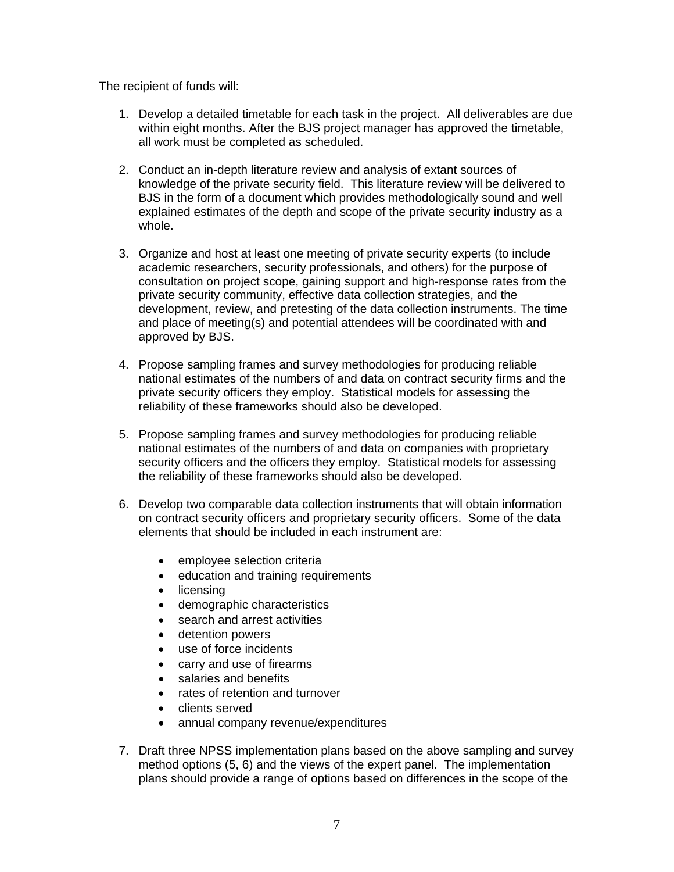The recipient of funds will:

- 1. Develop a detailed timetable for each task in the project. All deliverables are due within eight months. After the BJS project manager has approved the timetable, all work must be completed as scheduled.
- 2. Conduct an in-depth literature review and analysis of extant sources of knowledge of the private security field. This literature review will be delivered to BJS in the form of a document which provides methodologically sound and well explained estimates of the depth and scope of the private security industry as a whole.
- 3. Organize and host at least one meeting of private security experts (to include academic researchers, security professionals, and others) for the purpose of consultation on project scope, gaining support and high-response rates from the private security community, effective data collection strategies, and the development, review, and pretesting of the data collection instruments. The time and place of meeting(s) and potential attendees will be coordinated with and approved by BJS.
- 4. Propose sampling frames and survey methodologies for producing reliable national estimates of the numbers of and data on contract security firms and the private security officers they employ. Statistical models for assessing the reliability of these frameworks should also be developed.
- 5. Propose sampling frames and survey methodologies for producing reliable national estimates of the numbers of and data on companies with proprietary security officers and the officers they employ. Statistical models for assessing the reliability of these frameworks should also be developed.
- 6. Develop two comparable data collection instruments that will obtain information on contract security officers and proprietary security officers. Some of the data elements that should be included in each instrument are:
	- employee selection criteria
	- education and training requirements
	- licensing
	- demographic characteristics
	- search and arrest activities
	- detention powers
	- use of force incidents
	- carry and use of firearms
	- salaries and benefits
	- rates of retention and turnover
	- clients served
	- annual company revenue/expenditures
- 7. Draft three NPSS implementation plans based on the above sampling and survey method options (5, 6) and the views of the expert panel. The implementation plans should provide a range of options based on differences in the scope of the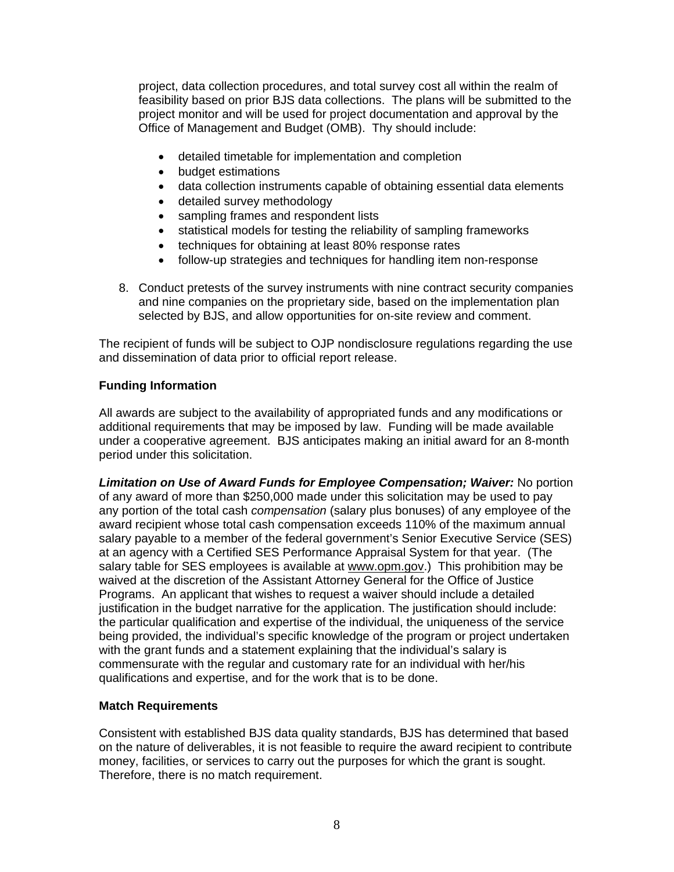project, data collection procedures, and total survey cost all within the realm of feasibility based on prior BJS data collections. The plans will be submitted to the project monitor and will be used for project documentation and approval by the Office of Management and Budget (OMB). Thy should include:

- detailed timetable for implementation and completion
- budget estimations
- data collection instruments capable of obtaining essential data elements
- detailed survey methodology
- sampling frames and respondent lists
- statistical models for testing the reliability of sampling frameworks
- techniques for obtaining at least 80% response rates
- follow-up strategies and techniques for handling item non-response
- 8. Conduct pretests of the survey instruments with nine contract security companies and nine companies on the proprietary side, based on the implementation plan selected by BJS, and allow opportunities for on-site review and comment.

The recipient of funds will be subject to OJP nondisclosure regulations regarding the use and dissemination of data prior to official report release.

### **Funding Information**

All awards are subject to the availability of appropriated funds and any modifications or additional requirements that may be imposed by law. Funding will be made available under a cooperative agreement. BJS anticipates making an initial award for an 8-month period under this solicitation.

*Limitation on Use of Award Funds for Employee Compensation; Waiver:* No portion of any award of more than \$250,000 made under this solicitation may be used to pay any portion of the total cash *compensation* (salary plus bonuses) of any employee of the award recipient whose total cash compensation exceeds 110% of the maximum annual salary payable to a member of the federal government's Senior Executive Service (SES) at an agency with a Certified SES Performance Appraisal System for that year. (The salary table for SES employees is available at www.opm.gov.) This prohibition may be waived at the discretion of the Assistant Attorney General for the Office of Justice Programs. An applicant that wishes to request a waiver should include a detailed justification in the budget narrative for the application. The justification should include: the particular qualification and expertise of the individual, the uniqueness of the service being provided, the individual's specific knowledge of the program or project undertaken with the grant funds and a statement explaining that the individual's salary is commensurate with the regular and customary rate for an individual with her/his qualifications and expertise, and for the work that is to be done.

#### **Match Requirements**

Consistent with established BJS data quality standards, BJS has determined that based on the nature of deliverables, it is not feasible to require the award recipient to contribute money, facilities, or services to carry out the purposes for which the grant is sought. Therefore, there is no match requirement.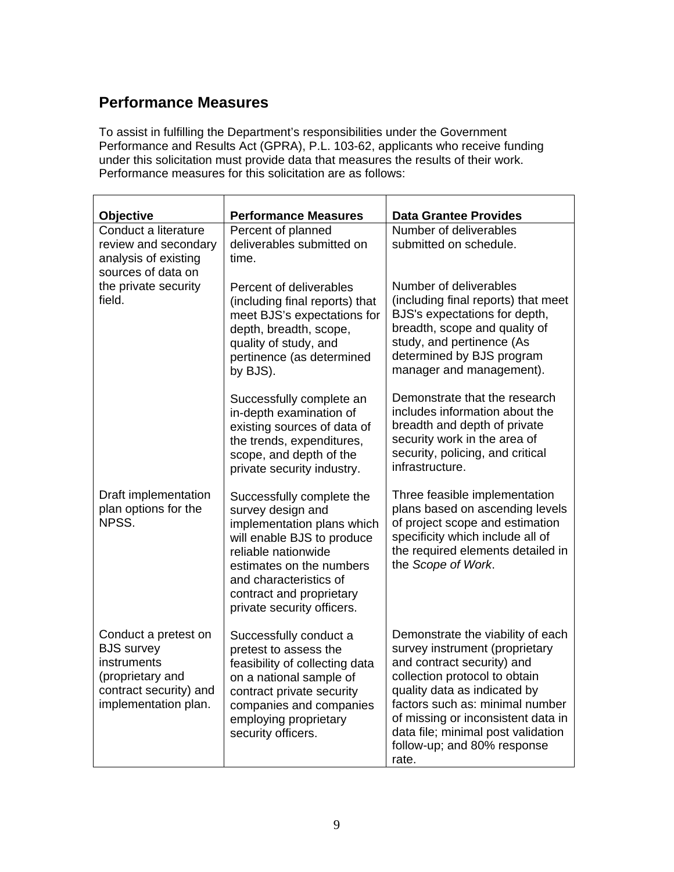# **Performance Measures**

To assist in fulfilling the Department's responsibilities under the Government Performance and Results Act (GPRA), P.L. 103-62, applicants who receive funding under this solicitation must provide data that measures the results of their work. Performance measures for this solicitation are as follows:

| <b>Objective</b>                                                                                                               | <b>Performance Measures</b>                                                                                                                                                                                                                       | <b>Data Grantee Provides</b>                                                                                                                                                                                                                                                                                              |
|--------------------------------------------------------------------------------------------------------------------------------|---------------------------------------------------------------------------------------------------------------------------------------------------------------------------------------------------------------------------------------------------|---------------------------------------------------------------------------------------------------------------------------------------------------------------------------------------------------------------------------------------------------------------------------------------------------------------------------|
| Conduct a literature                                                                                                           | Percent of planned                                                                                                                                                                                                                                | Number of deliverables                                                                                                                                                                                                                                                                                                    |
| review and secondary<br>analysis of existing<br>sources of data on                                                             | deliverables submitted on<br>time.                                                                                                                                                                                                                | submitted on schedule.                                                                                                                                                                                                                                                                                                    |
| the private security<br>field.                                                                                                 | Percent of deliverables<br>(including final reports) that<br>meet BJS's expectations for<br>depth, breadth, scope,<br>quality of study, and<br>pertinence (as determined<br>by BJS).                                                              | Number of deliverables<br>(including final reports) that meet<br>BJS's expectations for depth,<br>breadth, scope and quality of<br>study, and pertinence (As<br>determined by BJS program<br>manager and management).                                                                                                     |
|                                                                                                                                | Successfully complete an<br>in-depth examination of<br>existing sources of data of<br>the trends, expenditures,<br>scope, and depth of the<br>private security industry.                                                                          | Demonstrate that the research<br>includes information about the<br>breadth and depth of private<br>security work in the area of<br>security, policing, and critical<br>infrastructure.                                                                                                                                    |
| Draft implementation<br>plan options for the<br>NPSS.                                                                          | Successfully complete the<br>survey design and<br>implementation plans which<br>will enable BJS to produce<br>reliable nationwide<br>estimates on the numbers<br>and characteristics of<br>contract and proprietary<br>private security officers. | Three feasible implementation<br>plans based on ascending levels<br>of project scope and estimation<br>specificity which include all of<br>the required elements detailed in<br>the Scope of Work.                                                                                                                        |
| Conduct a pretest on<br><b>BJS</b> survey<br>instruments<br>(proprietary and<br>contract security) and<br>implementation plan. | Successfully conduct a<br>pretest to assess the<br>feasibility of collecting data<br>on a national sample of<br>contract private security<br>companies and companies<br>employing proprietary<br>security officers.                               | Demonstrate the viability of each<br>survey instrument (proprietary<br>and contract security) and<br>collection protocol to obtain<br>quality data as indicated by<br>factors such as: minimal number<br>of missing or inconsistent data in<br>data file; minimal post validation<br>follow-up; and 80% response<br>rate. |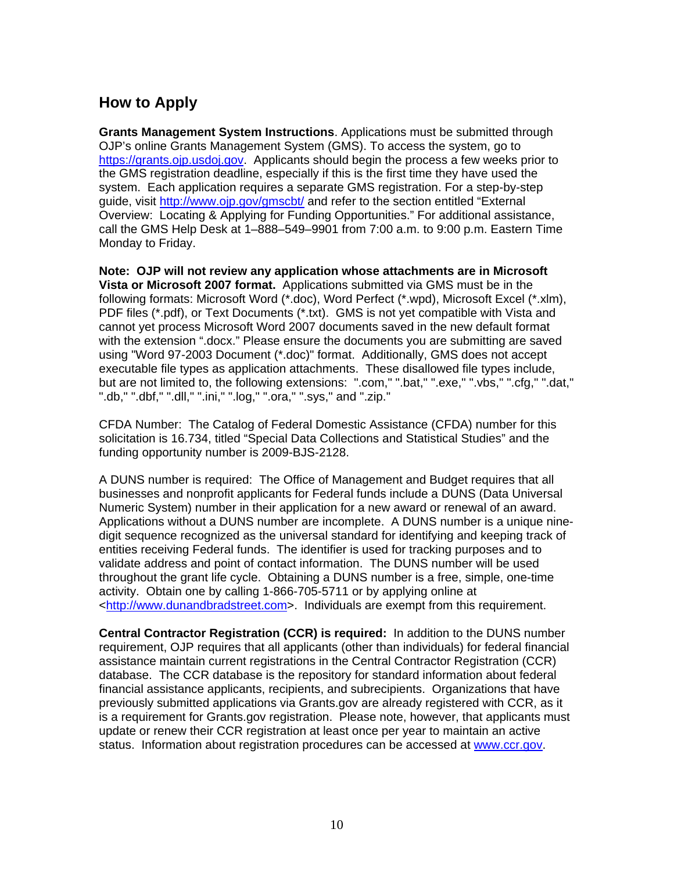# **How to Apply**

**Grants Management System Instructions**. Applications must be submitted through OJP's online Grants Management System (GMS). To access the system, go to https://grants.ojp.usdoj.gov. Applicants should begin the process a few weeks prior to the GMS registration deadline, especially if this is the first time they have used the system. Each application requires a separate GMS registration. For a step-by-step guide, visit http://www.ojp.gov/gmscbt/ and refer to the section entitled "External Overview: Locating & Applying for Funding Opportunities." For additional assistance, call the GMS Help Desk at 1–888–549–9901 from 7:00 a.m. to 9:00 p.m. Eastern Time Monday to Friday.

**Note: OJP will not review any application whose attachments are in Microsoft Vista or Microsoft 2007 format.** Applications submitted via GMS must be in the following formats: Microsoft Word (\*.doc), Word Perfect (\*.wpd), Microsoft Excel (\*.xlm), PDF files (\*.pdf), or Text Documents (\*.txt). GMS is not yet compatible with Vista and cannot yet process Microsoft Word 2007 documents saved in the new default format with the extension ".docx." Please ensure the documents you are submitting are saved using "Word 97-2003 Document (\*.doc)" format. Additionally, GMS does not accept executable file types as application attachments. These disallowed file types include, but are not limited to, the following extensions: ".com," ".bat," ".exe," ".vbs," ".cfg," ".dat," ".db," ".dbf," ".dll," ".ini," ".log," ".ora," ".sys," and ".zip."

CFDA Number: The Catalog of Federal Domestic Assistance (CFDA) number for this solicitation is 16.734, titled "Special Data Collections and Statistical Studies" and the funding opportunity number is 2009-BJS-2128.

A DUNS number is required: The Office of Management and Budget requires that all businesses and nonprofit applicants for Federal funds include a DUNS (Data Universal Numeric System) number in their application for a new award or renewal of an award. Applications without a DUNS number are incomplete. A DUNS number is a unique ninedigit sequence recognized as the universal standard for identifying and keeping track of entities receiving Federal funds. The identifier is used for tracking purposes and to validate address and point of contact information. The DUNS number will be used throughout the grant life cycle. Obtaining a DUNS number is a free, simple, one-time activity. Obtain one by calling 1-866-705-5711 or by applying online at <http://www.dunandbradstreet.com>. Individuals are exempt from this requirement.

**Central Contractor Registration (CCR) is required:** In addition to the DUNS number requirement, OJP requires that all applicants (other than individuals) for federal financial assistance maintain current registrations in the Central Contractor Registration (CCR) database. The CCR database is the repository for standard information about federal financial assistance applicants, recipients, and subrecipients. Organizations that have previously submitted applications via Grants.gov are already registered with CCR, as it is a requirement for Grants.gov registration. Please note, however, that applicants must update or renew their CCR registration at least once per year to maintain an active status. Information about registration procedures can be accessed at www.ccr.gov.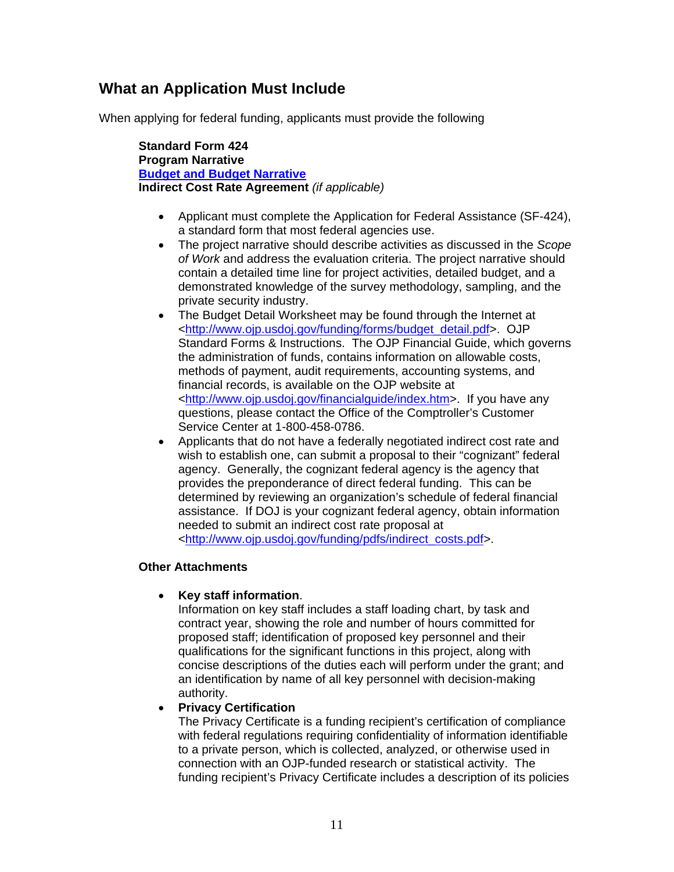## **What an Application Must Include**

When applying for federal funding, applicants must provide the following

**Standard Form 424 Program Narrative Budget and Budget Narrative Indirect Cost Rate Agreement** *(if applicable)* 

- Applicant must complete the Application for Federal Assistance (SF-424), a standard form that most federal agencies use.
- The project narrative should describe activities as discussed in the *Scope of Work* and address the evaluation criteria. The project narrative should contain a detailed time line for project activities, detailed budget, and a demonstrated knowledge of the survey methodology, sampling, and the private security industry.
- The Budget Detail Worksheet may be found through the Internet at <http://www.ojp.usdoj.gov/funding/forms/budget\_detail.pdf>. OJP Standard Forms & Instructions. The OJP Financial Guide, which governs the administration of funds, contains information on allowable costs, methods of payment, audit requirements, accounting systems, and financial records, is available on the OJP website at <http://www.ojp.usdoj.gov/financialguide/index.htm>. If you have any questions, please contact the Office of the Comptroller's Customer Service Center at 1-800-458-0786.
- Applicants that do not have a federally negotiated indirect cost rate and wish to establish one, can submit a proposal to their "cognizant" federal agency. Generally, the cognizant federal agency is the agency that provides the preponderance of direct federal funding. This can be determined by reviewing an organization's schedule of federal financial assistance. If DOJ is your cognizant federal agency, obtain information needed to submit an indirect cost rate proposal at <http://www.ojp.usdoj.gov/funding/pdfs/indirect\_costs.pdf*>*.

#### **Other Attachments**

#### • **Key staff information**.

Information on key staff includes a staff loading chart, by task and contract year, showing the role and number of hours committed for proposed staff; identification of proposed key personnel and their qualifications for the significant functions in this project, along with concise descriptions of the duties each will perform under the grant; and an identification by name of all key personnel with decision-making authority.

#### • **Privacy Certification**

The Privacy Certificate is a funding recipient's certification of compliance with federal regulations requiring confidentiality of information identifiable to a private person, which is collected, analyzed, or otherwise used in connection with an OJP-funded research or statistical activity. The funding recipient's Privacy Certificate includes a description of its policies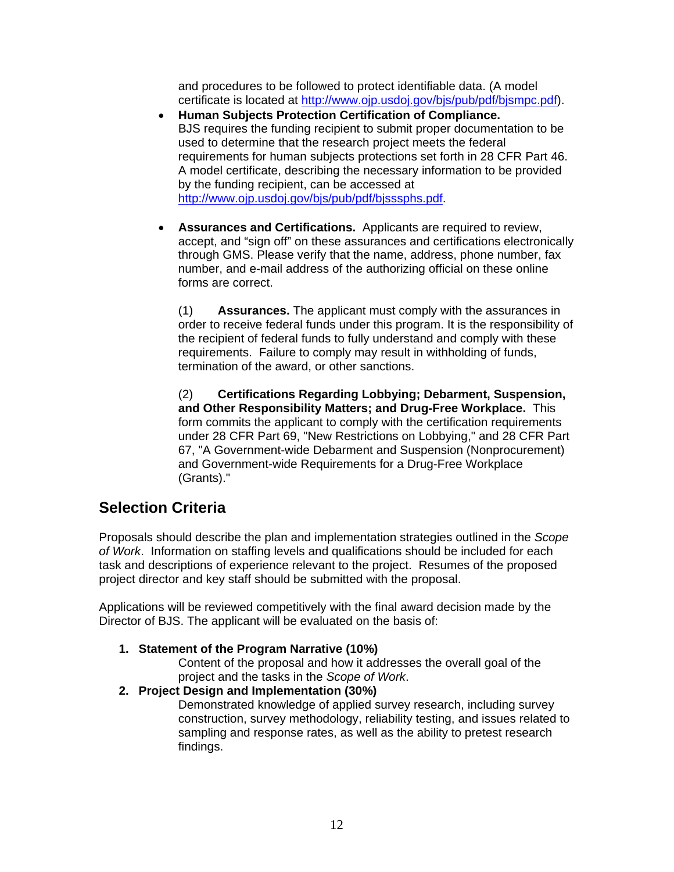and procedures to be followed to protect identifiable data. (A model certificate is located at http://www.ojp.usdoj.gov/bjs/pub/pdf/bjsmpc.pdf).

- **Human Subjects Protection Certification of Compliance.**  BJS requires the funding recipient to submit proper documentation to be used to determine that the research project meets the federal requirements for human subjects protections set forth in 28 CFR Part 46. A model certificate, describing the necessary information to be provided by the funding recipient, can be accessed at http://www.ojp.usdoj.gov/bjs/pub/pdf/bjsssphs.pdf.
- **Assurances and Certifications.** Applicants are required to review, accept, and "sign off" on these assurances and certifications electronically through GMS. Please verify that the name, address, phone number, fax number, and e-mail address of the authorizing official on these online forms are correct.

(1) **Assurances.** The applicant must comply with the assurances in order to receive federal funds under this program. It is the responsibility of the recipient of federal funds to fully understand and comply with these requirements. Failure to comply may result in withholding of funds, termination of the award, or other sanctions.

(2) **Certifications Regarding Lobbying; Debarment, Suspension, and Other Responsibility Matters; and Drug-Free Workplace.** This form commits the applicant to comply with the certification requirements under 28 CFR Part 69, "New Restrictions on Lobbying," and 28 CFR Part 67, "A Government-wide Debarment and Suspension (Nonprocurement) and Government-wide Requirements for a Drug-Free Workplace (Grants)."

## **Selection Criteria**

Proposals should describe the plan and implementation strategies outlined in the *Scope of Work*. Information on staffing levels and qualifications should be included for each task and descriptions of experience relevant to the project. Resumes of the proposed project director and key staff should be submitted with the proposal.

Applications will be reviewed competitively with the final award decision made by the Director of BJS. The applicant will be evaluated on the basis of:

#### **1. Statement of the Program Narrative (10%)**

Content of the proposal and how it addresses the overall goal of the project and the tasks in the *Scope of Work*.

## **2. Project Design and Implementation (30%)**

Demonstrated knowledge of applied survey research, including survey construction, survey methodology, reliability testing, and issues related to sampling and response rates, as well as the ability to pretest research findings.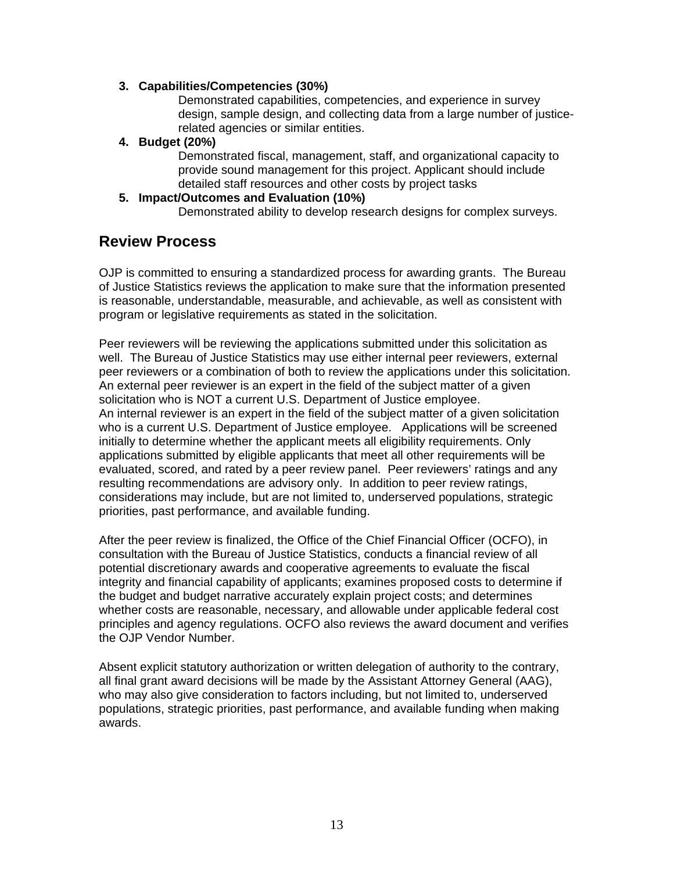#### **3. Capabilities/Competencies (30%)**

Demonstrated capabilities, competencies, and experience in survey design, sample design, and collecting data from a large number of justicerelated agencies or similar entities.

**4. Budget (20%)** 

Demonstrated fiscal, management, staff, and organizational capacity to provide sound management for this project. Applicant should include detailed staff resources and other costs by project tasks

#### **5. Impact/Outcomes and Evaluation (10%)**

Demonstrated ability to develop research designs for complex surveys.

## **Review Process**

OJP is committed to ensuring a standardized process for awarding grants. The Bureau of Justice Statistics reviews the application to make sure that the information presented is reasonable, understandable, measurable, and achievable, as well as consistent with program or legislative requirements as stated in the solicitation.

Peer reviewers will be reviewing the applications submitted under this solicitation as well. The Bureau of Justice Statistics may use either internal peer reviewers, external peer reviewers or a combination of both to review the applications under this solicitation. An external peer reviewer is an expert in the field of the subject matter of a given solicitation who is NOT a current U.S. Department of Justice employee. An internal reviewer is an expert in the field of the subject matter of a given solicitation who is a current U.S. Department of Justice employee. Applications will be screened initially to determine whether the applicant meets all eligibility requirements. Only applications submitted by eligible applicants that meet all other requirements will be evaluated, scored, and rated by a peer review panel. Peer reviewers' ratings and any resulting recommendations are advisory only. In addition to peer review ratings, considerations may include, but are not limited to, underserved populations, strategic priorities, past performance, and available funding.

After the peer review is finalized, the Office of the Chief Financial Officer (OCFO), in consultation with the Bureau of Justice Statistics, conducts a financial review of all potential discretionary awards and cooperative agreements to evaluate the fiscal integrity and financial capability of applicants; examines proposed costs to determine if the budget and budget narrative accurately explain project costs; and determines whether costs are reasonable, necessary, and allowable under applicable federal cost principles and agency regulations. OCFO also reviews the award document and verifies the OJP Vendor Number.

Absent explicit statutory authorization or written delegation of authority to the contrary, all final grant award decisions will be made by the Assistant Attorney General (AAG), who may also give consideration to factors including, but not limited to, underserved populations, strategic priorities, past performance, and available funding when making awards.